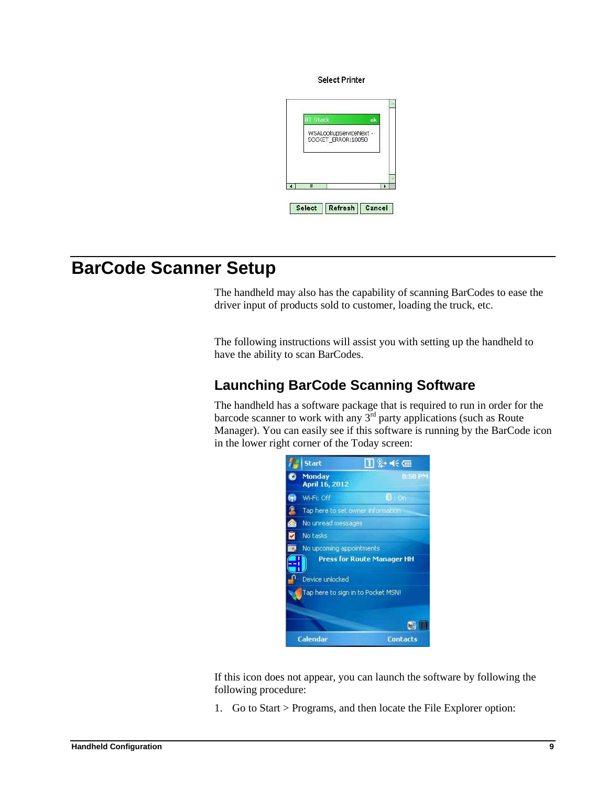**Select Printer** 



## **BarCode Scanner Setup**

The handheld may also has the capability of scanning BarCodes to ease the driver input of products sold to customer, loading the truck, etc.

The following instructions will assist you with setting up the handheld to have the ability to scan BarCodes.

## **Launching BarCode Scanning Software**

The handheld has a software package that is required to run in order for the barcode scanner to work with any  $3^{rd}$  party applications (such as Route Manager). You can easily see if this software is running by the BarCode icon in the lower right corner of the Today screen:



If this icon does not appear, you can launch the software by following the following procedure:

1. Go to Start > Programs, and then locate the File Explorer option: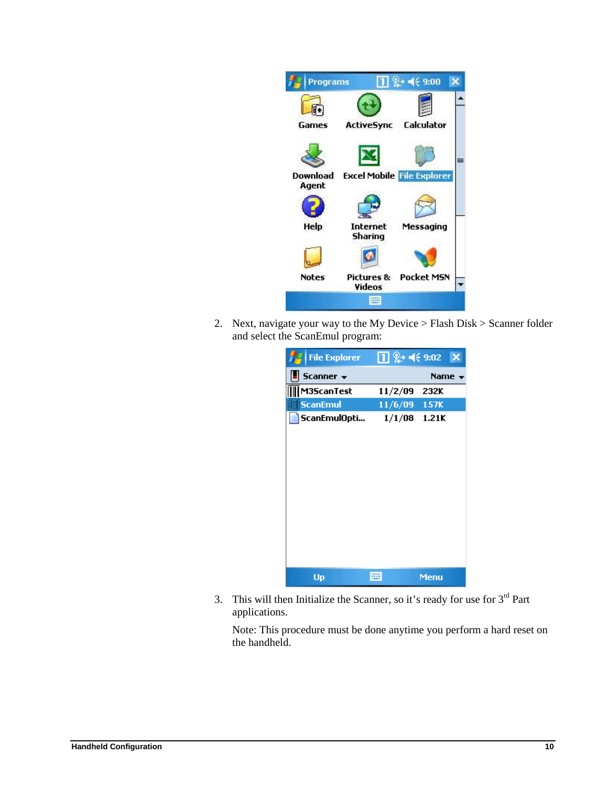

2. Next, navigate your way to the My Device > Flash Disk > Scanner folder and select the ScanEmul program:

| <b>File Explorer</b> | $\boxed{1}$ $\frac{0}{2}$ + $\leq$ 9:02 | ×           |
|----------------------|-----------------------------------------|-------------|
| Scanner $\star$      |                                         | Name -      |
| M3ScanTest           | 11/2/09                                 | 232K        |
| <b>ScanEmul</b>      | 11/6/09 157K                            |             |
| ScanEmulOpti         | 1/1/08                                  | 1.21K       |
|                      |                                         |             |
|                      |                                         |             |
|                      |                                         |             |
|                      |                                         |             |
|                      |                                         |             |
|                      |                                         |             |
|                      |                                         |             |
|                      |                                         |             |
|                      |                                         |             |
|                      |                                         |             |
| Up                   | æ                                       | <b>Menu</b> |

3. This will then Initialize the Scanner, so it's ready for use for  $3<sup>rd</sup>$  Part applications.

Note: This procedure must be done anytime you perform a hard reset on the handheld.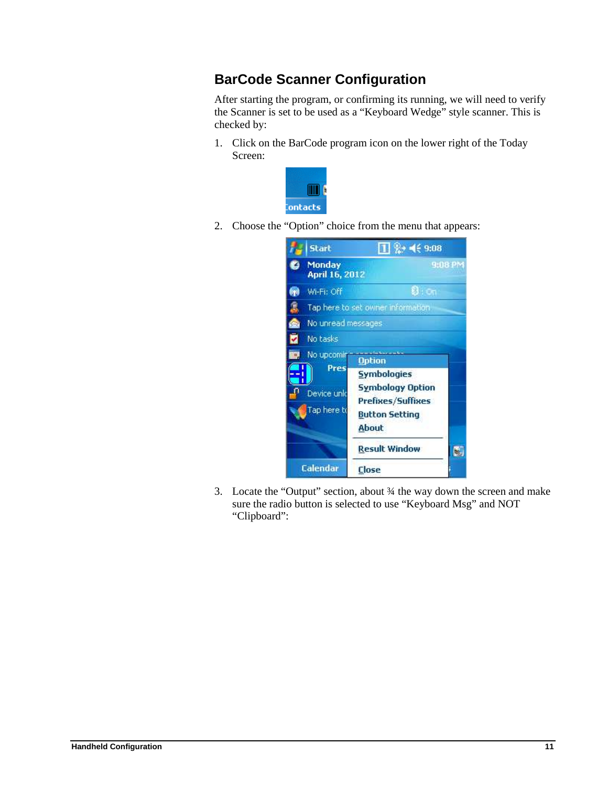## **BarCode Scanner Configuration**

After starting the program, or confirming its running, we will need to verify the Scanner is set to be used as a "Keyboard Wedge" style scanner. This is checked by:

1. Click on the BarCode program icon on the lower right of the Today Screen:



2. Choose the "Option" choice from the menu that appears:



3. Locate the "Output" section, about ¾ the way down the screen and make sure the radio button is selected to use "Keyboard Msg" and NOT "Clipboard":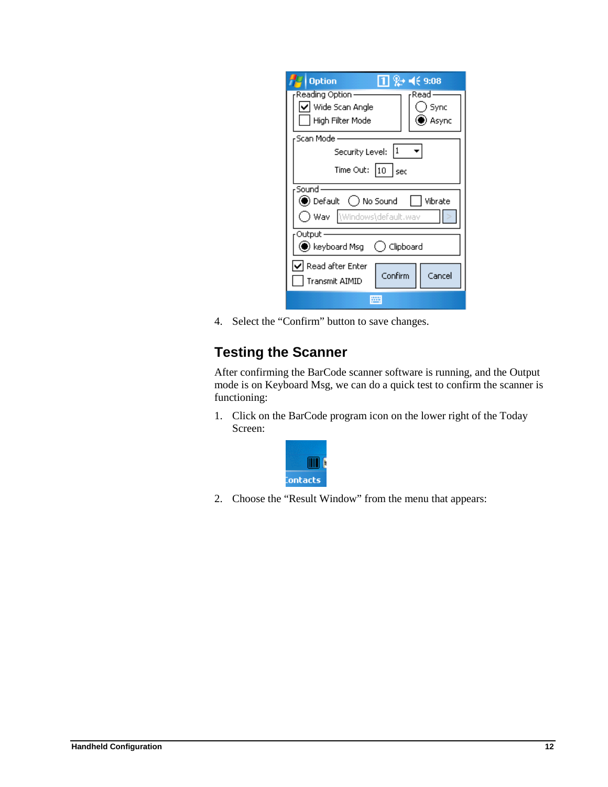| $1 \, 2$ + $\leftrightarrow$ 9:08<br><b>Option</b>          |  |  |  |  |
|-------------------------------------------------------------|--|--|--|--|
| Reading Option ·<br>rRead·<br> ✔  Wide Scan Angle<br>) Sync |  |  |  |  |
| Async<br>High Filter Mode                                   |  |  |  |  |
| Scan Mode -                                                 |  |  |  |  |
| 11<br>Security Level:                                       |  |  |  |  |
| Time Out:<br>$ 10 $ sec                                     |  |  |  |  |
| Sound                                                       |  |  |  |  |
| <b>●</b> Default ( ) No Sound<br>    Vibrate                |  |  |  |  |
| Wav Windows\default.wav                                     |  |  |  |  |
| Output                                                      |  |  |  |  |
| $\blacktriangleright$ keyboard Msg<br>( ) Clipboard         |  |  |  |  |
| $\blacktriangledown$ Read after Enter                       |  |  |  |  |
| Confirm<br>Cancel<br>Transmit AIMID                         |  |  |  |  |
|                                                             |  |  |  |  |

4. Select the "Confirm" button to save changes.

## **Testing the Scanner**

After confirming the BarCode scanner software is running, and the Output mode is on Keyboard Msg, we can do a quick test to confirm the scanner is functioning:

1. Click on the BarCode program icon on the lower right of the Today Screen:



2. Choose the "Result Window" from the menu that appears: